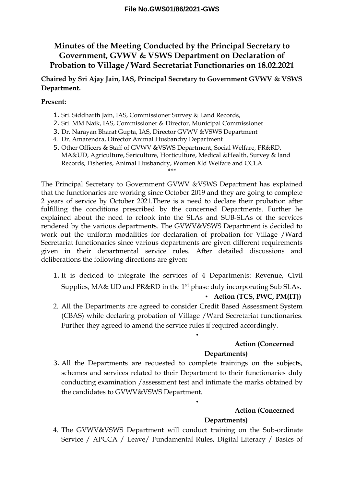# **Minutes of the Meeting Conducted by the Principal Secretary to Government, GVWV & VSWS Department on Declaration of Probation to Village / Ward Secretariat Functionaries on 18.02.2021**

# **Chaired by Sri Ajay Jain, IAS, Principal Secretary to Government GVWV & VSWS Department.**

### **Present:**

- 1. Sri. Siddharth Jain, IAS, Commissioner Survey & Land Records,
- 2. Sri. MM Naik, IAS, Commissioner & Director, Municipal Commissioner
- 3. Dr. Narayan Bharat Gupta, IAS, Director GVWV &VSWS Department
- 4. Dr. Amarendra, Director Animal Husbandry Department
- 5. Other Officers & Staff of GVWV &VSWS Department, Social Welfare, PR&RD, MA&UD, Agriculture, Sericulture, Horticulture, Medical &Health, Survey & land Records, Fisheries, Animal Husbandry, Women Χld Welfare and CCLA **\*\*\***

The Principal Secretary to Government GVWV &VSWS Department has explained that the functionaries are working since October 2019 and they are going to complete 2 years of service by October 2021.There is a need to declare their probation after fulfilling the conditions prescribed by the concerned Departments. Further he explained about the need to relook into the SLAs and SUB-SLAs of the services rendered by the various departments. The GVWV&VSWS Department is decided to work out the uniform modalities for declaration of probation for Village /Ward Secretariat functionaries since various departments are given different requirements given in their departmental service rules. After detailed discussions and deliberations the following directions are given:

- 1. It is decided to integrate the services of 4 Departments: Revenue, Civil Supplies, MA& UD and PR&RD in the 1<sup>st</sup> phase duly incorporating Sub SLAs. • **Action (TCS, PWC, PM(IT))**
- 2. All the Departments are agreed to consider Credit Based Assessment System (CBAS) while declaring probation of Village /Ward Secretariat functionaries. Further they agreed to amend the service rules if required accordingly.

•

•

# **Action (Concerned**

### **Departments)**

3. All the Departments are requested to complete trainings on the subjects, schemes and services related to their Department to their functionaries duly conducting examination /assessment test and intimate the marks obtained by the candidates to GVWV&VSWS Department.

# **Action (Concerned Departments)**

4. The GVWV&VSWS Department will conduct training on the Sub-ordinate Service / APCCA / Leave/ Fundamental Rules, Digital Literacy / Basics of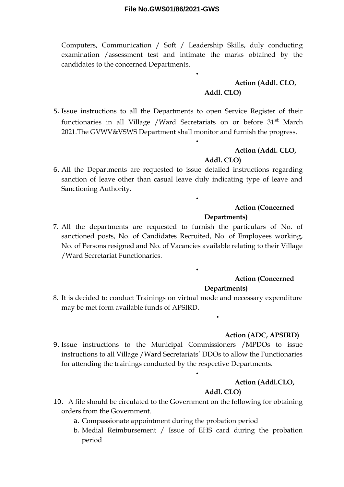Computers, Communication / Soft / Leadership Skills, duly conducting examination /assessment test and intimate the marks obtained by the candidates to the concerned Departments.

•

•

•

•

### **Action (Addl. CLO, Addl. CLO)**

5. Issue instructions to all the Departments to open Service Register of their functionaries in all Village /Ward Secretariats on or before 31<sup>st</sup> March 2021.The GVWV&VSWS Department shall monitor and furnish the progress.

### **Action (Addl. CLO,**

#### **Addl. CLO)**

6. All the Departments are requested to issue detailed instructions regarding sanction of leave other than casual leave duly indicating type of leave and Sanctioning Authority.

### **Action (Concerned**

#### **Departments)**

7. All the departments are requested to furnish the particulars of No. of sanctioned posts, No. of Candidates Recruited, No. of Employees working, No. of Persons resigned and No. of Vacancies available relating to their Village /Ward Secretariat Functionaries.

# **Action (Concerned**

#### **Departments)**

•

8. It is decided to conduct Trainings on virtual mode and necessary expenditure may be met form available funds of APSIRD.

#### **Action (ADC, APSIRD)**

9. Issue instructions to the Municipal Commissioners /MPDOs to issue instructions to all Village /Ward Secretariats' DDOs to allow the Functionaries for attending the trainings conducted by the respective Departments.

#### **Action (Addl.CLO,**

### **Addl. CLO)**

- 10. A file should be circulated to the Government on the following for obtaining orders from the Government.
	- a. Compassionate appointment during the probation period
	- b. Medial Reimbursement / Issue of EHS card during the probation period

•